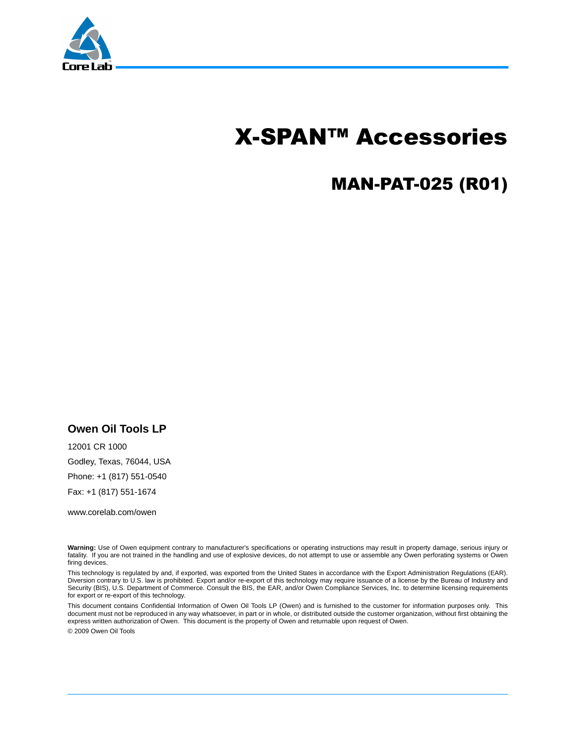

# X-SPAN™ Accessories

# MAN-PAT-025 (R01)

#### **Owen Oil Tools LP**

12001 CR 1000 Godley, Texas, 76044, USA Phone: +1 (817) 551-0540 Fax: +1 (817) 551-1674

www.corelab.com/owen

**Warning:** Use of Owen equipment contrary to manufacturer's specifications or operating instructions may result in property damage, serious injury or fatality. If you are not trained in the handling and use of explosive devices, do not attempt to use or assemble any Owen perforating systems or Owen firing devices.

This technology is regulated by and, if exported, was exported from the United States in accordance with the Export Administration Regulations (EAR). Diversion contrary to U.S. law is prohibited. Export and/or re-export of this technology may require issuance of a license by the Bureau of Industry and Security (BIS), U.S. Department of Commerce. Consult the BIS, the EAR, and/or Owen Compliance Services, Inc. to determine licensing requirements for export or re-export of this technology.

This document contains Confidential Information of Owen Oil Tools LP (Owen) and is furnished to the customer for information purposes only. This document must not be reproduced in any way whatsoever, in part or in whole, or distributed outside the customer organization, without first obtaining the express written authorization of Owen. This document is the property of Owen and returnable upon request of Owen. © 2009 Owen Oil Tools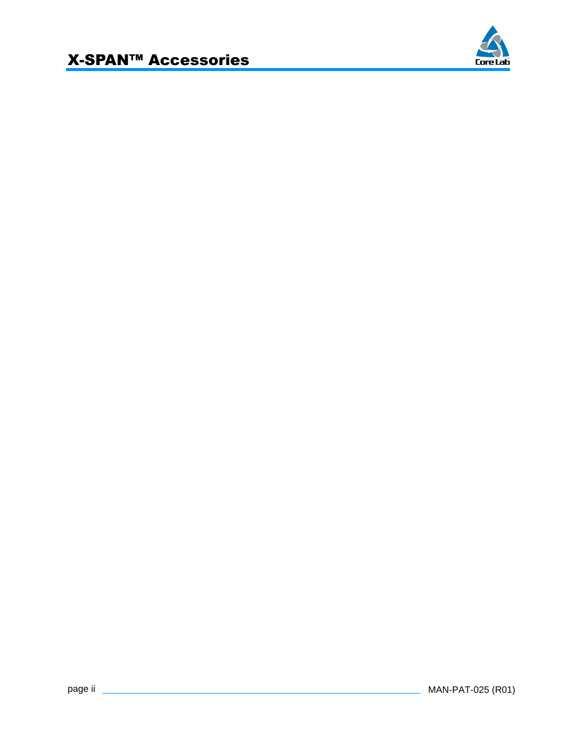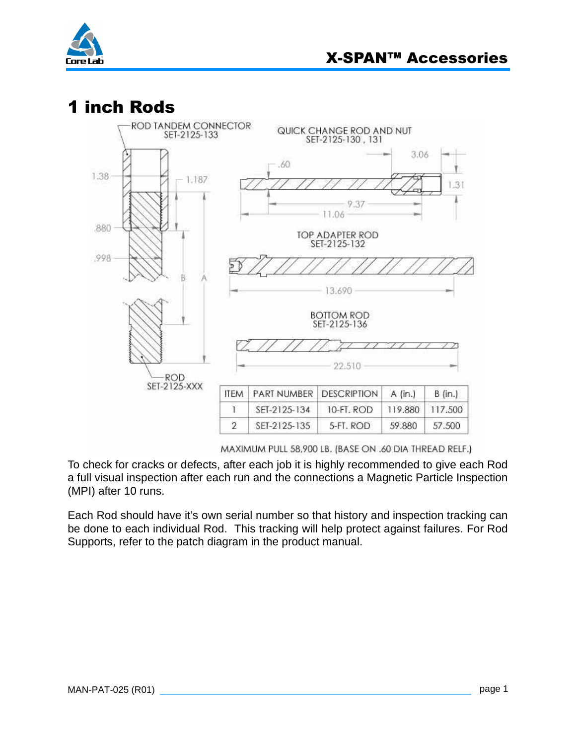

# 1 inch Rods



MAXIMUM PULL 58,900 LB. (BASE ON .60 DIA THREAD RELF.)

To check for cracks or defects, after each job it is highly recommended to give each Rod a full visual inspection after each run and the connections a Magnetic Particle Inspection (MPI) after 10 runs.

Each Rod should have it's own serial number so that history and inspection tracking can be done to each individual Rod. This tracking will help protect against failures. For Rod Supports, refer to the patch diagram in the product manual.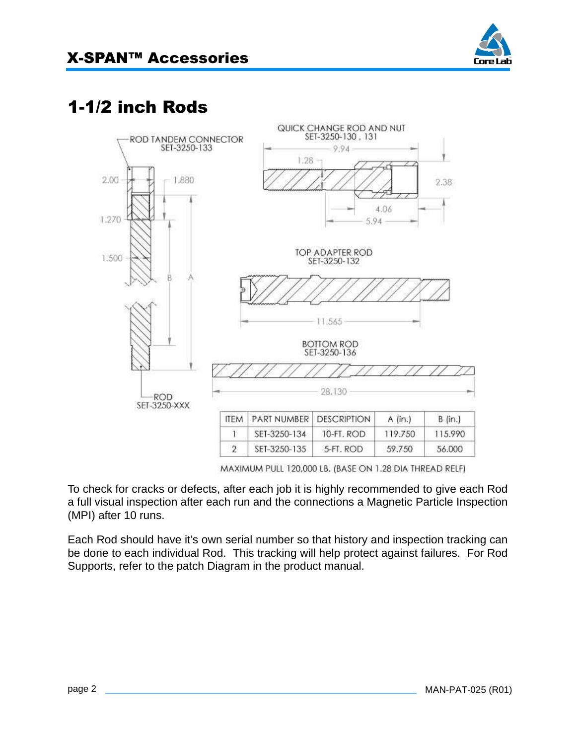

# 1-1/2 inch Rods



MAXIMUM PULL 120,000 LB. (BASE ON 1.28 DIA THREAD RELF)

To check for cracks or defects, after each job it is highly recommended to give each Rod a full visual inspection after each run and the connections a Magnetic Particle Inspection (MPI) after 10 runs.

Each Rod should have it's own serial number so that history and inspection tracking can be done to each individual Rod. This tracking will help protect against failures. For Rod Supports, refer to the patch Diagram in the product manual.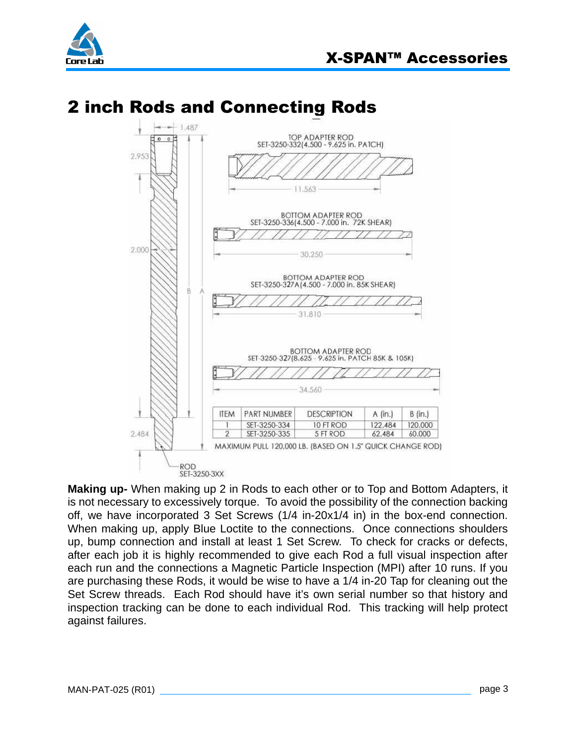

## 2 inch Rods and Connecting Rods



**Making up-** When making up 2 in Rods to each other or to Top and Bottom Adapters, it is not necessary to excessively torque. To avoid the possibility of the connection backing off, we have incorporated 3 Set Screws (1/4 in-20x1/4 in) in the box-end connection. When making up, apply Blue Loctite to the connections. Once connections shoulders up, bump connection and install at least 1 Set Screw. To check for cracks or defects, after each job it is highly recommended to give each Rod a full visual inspection after each run and the connections a Magnetic Particle Inspection (MPI) after 10 runs. If you are purchasing these Rods, it would be wise to have a 1/4 in-20 Tap for cleaning out the Set Screw threads. Each Rod should have it's own serial number so that history and inspection tracking can be done to each individual Rod. This tracking will help protect against failures.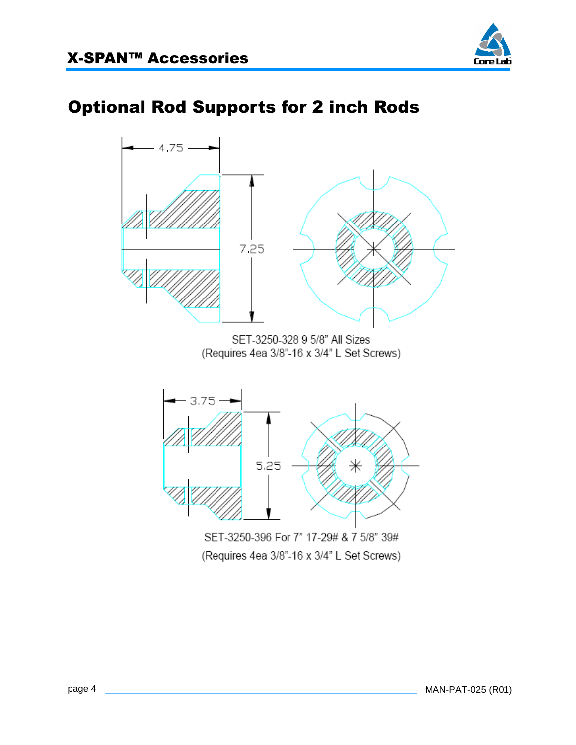

# Optional Rod Supports for 2 inch Rods

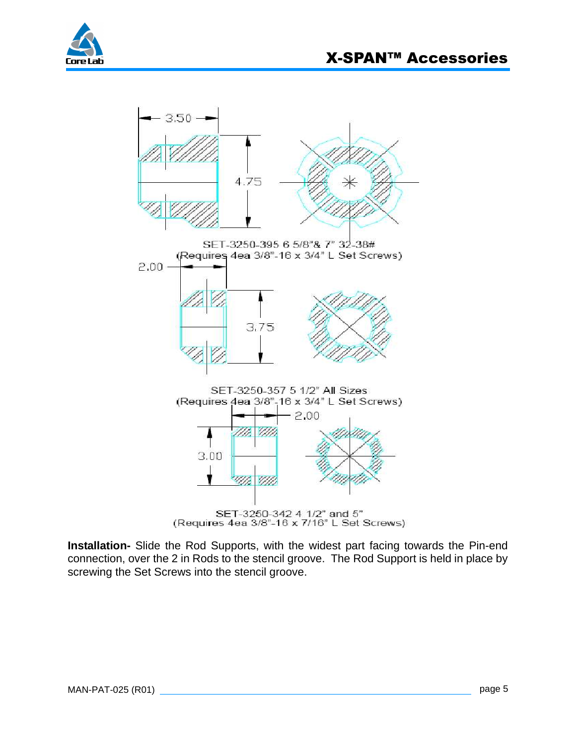



**Installation-** Slide the Rod Supports, with the widest part facing towards the Pin-end connection, over the 2 in Rods to the stencil groove. The Rod Support is held in place by screwing the Set Screws into the stencil groove.